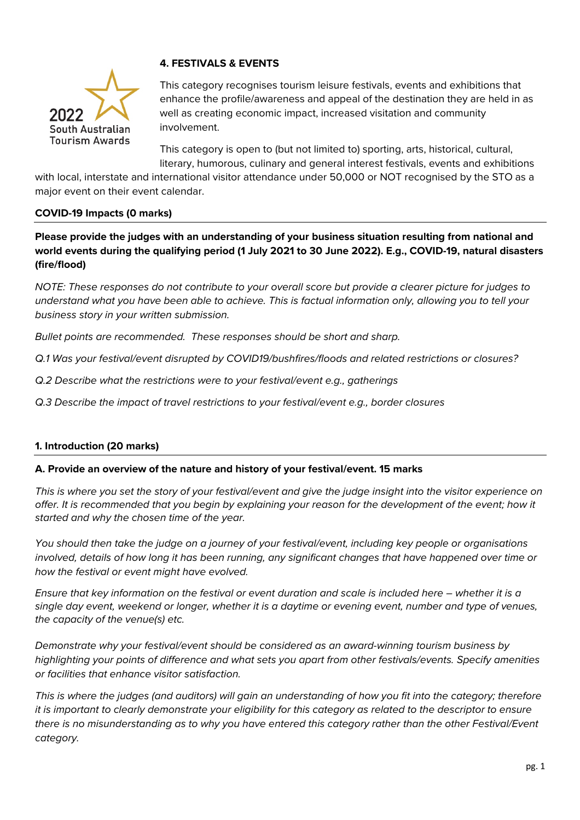

# **4. FESTIVALS & EVENTS**

This category recognises tourism leisure festivals, events and exhibitions that enhance the profile/awareness and appeal of the destination they are held in as well as creating economic impact, increased visitation and community involvement.

This category is open to (but not limited to) sporting, arts, historical, cultural, literary, humorous, culinary and general interest festivals, events and exhibitions

with local, interstate and international visitor attendance under 50,000 or NOT recognised by the STO as a major event on their event calendar.

## **COVID-19 Impacts (0 marks)**

**Please provide the judges with an understanding of your business situation resulting from national and world events during the qualifying period (1 July 2021 to 30 June 2022). E.g., COVID-19, natural disasters (fire/flood)** 

*NOTE: These responses do not contribute to your overall score but provide a clearer picture for judges to understand what you have been able to achieve. This is factual information only, allowing you to tell your business story in your written submission.* 

*Bullet points are recommended. These responses should be short and sharp.*

*Q.1 Was your festival/event disrupted by COVID19/bushfires/floods and related restrictions or closures?*

- *Q.2 Describe what the restrictions were to your festival/event e.g., gatherings*
- *Q.3 Describe the impact of travel restrictions to your festival/event e.g., border closures*

## **1. Introduction (20 marks)**

#### **A. Provide an overview of the nature and history of your festival/event. 15 marks**

*This is where you set the story of your festival/event and give the judge insight into the visitor experience on offer. It is recommended that you begin by explaining your reason for the development of the event; how it started and why the chosen time of the year.*

*You should then take the judge on a journey of your festival/event, including key people or organisations involved, details of how long it has been running, any significant changes that have happened over time or how the festival or event might have evolved.*

*Ensure that key information on the festival or event duration and scale is included here – whether it is a single day event, weekend or longer, whether it is a daytime or evening event, number and type of venues, the capacity of the venue(s) etc.*

*Demonstrate why your festival/event should be considered as an award-winning tourism business by highlighting your points of difference and what sets you apart from other festivals/events. Specify amenities or facilities that enhance visitor satisfaction.* 

*This is where the judges (and auditors) will gain an understanding of how you fit into the category; therefore it is important to clearly demonstrate your eligibility for this category as related to the descriptor to ensure there is no misunderstanding as to why you have entered this category rather than the other Festival/Event category.*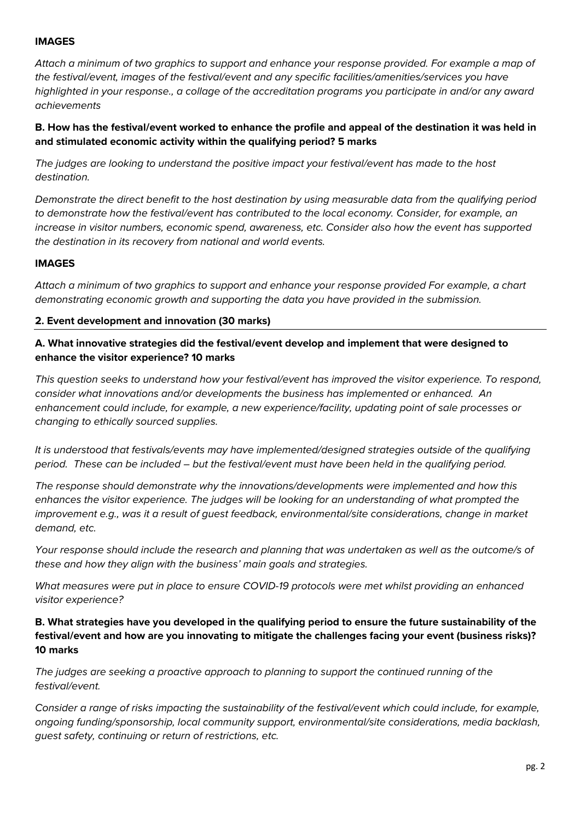## **IMAGES**

*Attach a minimum of two graphics to support and enhance your response provided. For example a map of the festival/event, images of the festival/event and any specific facilities/amenities/services you have highlighted in your response., a collage of the accreditation programs you participate in and/or any award achievements*

**B. How has the festival/event worked to enhance the profile and appeal of the destination it was held in and stimulated economic activity within the qualifying period? 5 marks**

*The judges are looking to understand the positive impact your festival/event has made to the host destination.* 

*Demonstrate the direct benefit to the host destination by using measurable data from the qualifying period to demonstrate how the festival/event has contributed to the local economy. Consider, for example, an increase in visitor numbers, economic spend, awareness, etc. Consider also how the event has supported the destination in its recovery from national and world events.*

### **IMAGES**

*Attach a minimum of two graphics to support and enhance your response provided For example, a chart demonstrating economic growth and supporting the data you have provided in the submission.* 

### **2. Event development and innovation (30 marks)**

## **A. What innovative strategies did the festival/event develop and implement that were designed to enhance the visitor experience? 10 marks**

*This question seeks to understand how your festival/event has improved the visitor experience. To respond, consider what innovations and/or developments the business has implemented or enhanced. An enhancement could include, for example, a new experience/facility, updating point of sale processes or changing to ethically sourced supplies.*

*It is understood that festivals/events may have implemented/designed strategies outside of the qualifying period. These can be included – but the festival/event must have been held in the qualifying period.*

*The response should demonstrate why the innovations/developments were implemented and how this enhances the visitor experience. The judges will be looking for an understanding of what prompted the improvement e.g., was it a result of guest feedback, environmental/site considerations, change in market demand, etc.* 

*Your response should include the research and planning that was undertaken as well as the outcome/s of these and how they align with the business' main goals and strategies.*

*What measures were put in place to ensure COVID-19 protocols were met whilst providing an enhanced visitor experience?*

## **B. What strategies have you developed in the qualifying period to ensure the future sustainability of the festival/event and how are you innovating to mitigate the challenges facing your event (business risks)? 10 marks**

*The judges are seeking a proactive approach to planning to support the continued running of the festival/event.* 

*Consider a range of risks impacting the sustainability of the festival/event which could include, for example, ongoing funding/sponsorship, local community support, environmental/site considerations, media backlash, guest safety, continuing or return of restrictions, etc.*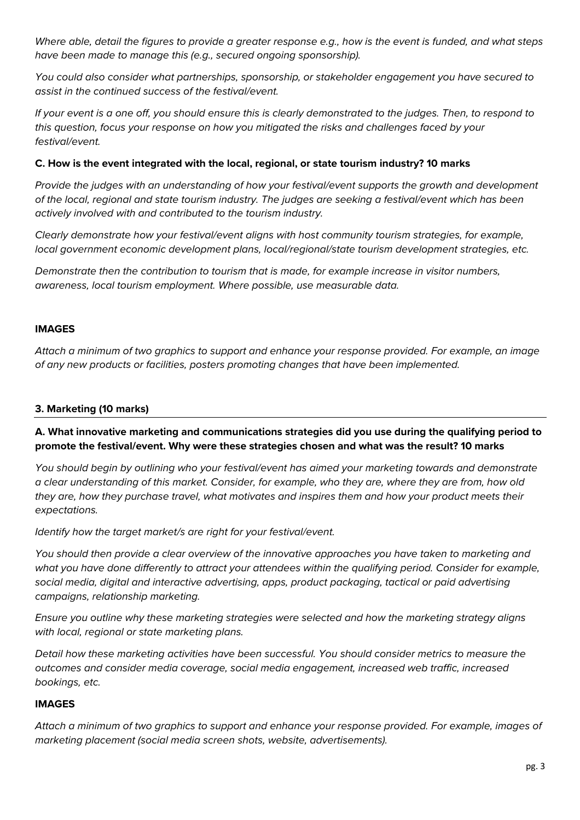*Where able, detail the figures to provide a greater response e.g., how is the event is funded, and what steps have been made to manage this (e.g., secured ongoing sponsorship).* 

*You could also consider what partnerships, sponsorship, or stakeholder engagement you have secured to assist in the continued success of the festival/event.*

*If your event is a one off, you should ensure this is clearly demonstrated to the judges. Then, to respond to this question, focus your response on how you mitigated the risks and challenges faced by your festival/event.* 

## **C. How is the event integrated with the local, regional, or state tourism industry? 10 marks**

*Provide the judges with an understanding of how your festival/event supports the growth and development of the local, regional and state tourism industry. The judges are seeking a festival/event which has been actively involved with and contributed to the tourism industry.* 

*Clearly demonstrate how your festival/event aligns with host community tourism strategies, for example, local government economic development plans, local/regional/state tourism development strategies, etc.* 

*Demonstrate then the contribution to tourism that is made, for example increase in visitor numbers, awareness, local tourism employment. Where possible, use measurable data.* 

#### **IMAGES**

*Attach a minimum of two graphics to support and enhance your response provided. For example, an image of any new products or facilities, posters promoting changes that have been implemented.* 

## **3. Marketing (10 marks)**

**A. What innovative marketing and communications strategies did you use during the qualifying period to promote the festival/event. Why were these strategies chosen and what was the result? 10 marks**

*You should begin by outlining who your festival/event has aimed your marketing towards and demonstrate a clear understanding of this market. Consider, for example, who they are, where they are from, how old they are, how they purchase travel, what motivates and inspires them and how your product meets their expectations.* 

*Identify how the target market/s are right for your festival/event.*

*You should then provide a clear overview of the innovative approaches you have taken to marketing and what you have done differently to attract your attendees within the qualifying period. Consider for example, social media, digital and interactive advertising, apps, product packaging, tactical or paid advertising campaigns, relationship marketing.*

*Ensure you outline why these marketing strategies were selected and how the marketing strategy aligns with local, regional or state marketing plans.*

*Detail how these marketing activities have been successful. You should consider metrics to measure the outcomes and consider media coverage, social media engagement, increased web traffic, increased bookings, etc.* 

## **IMAGES**

*Attach a minimum of two graphics to support and enhance your response provided. For example, images of marketing placement (social media screen shots, website, advertisements).*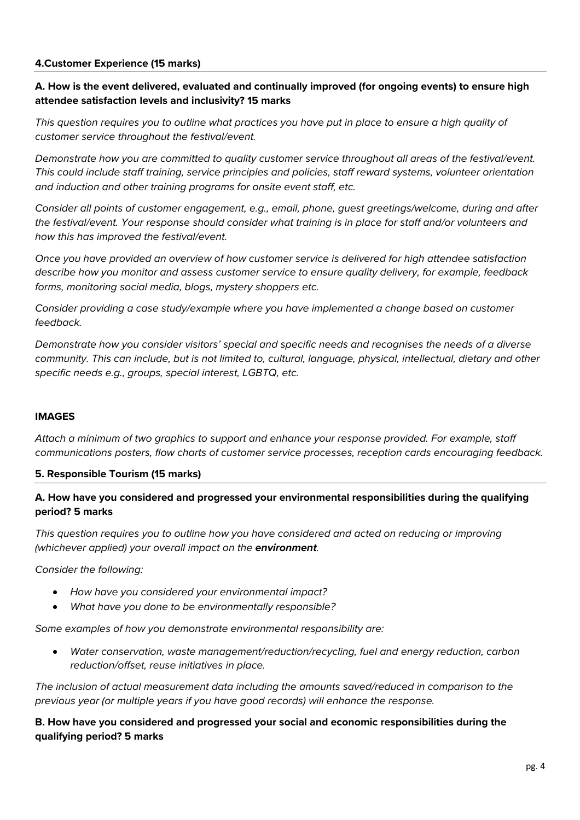## **4.Customer Experience (15 marks)**

## **A. How is the event delivered, evaluated and continually improved (for ongoing events) to ensure high attendee satisfaction levels and inclusivity? 15 marks**

*This question requires you to outline what practices you have put in place to ensure a high quality of customer service throughout the festival/event.* 

*Demonstrate how you are committed to quality customer service throughout all areas of the festival/event. This could include staff training, service principles and policies, staff reward systems, volunteer orientation and induction and other training programs for onsite event staff, etc.* 

*Consider all points of customer engagement, e.g., email, phone, guest greetings/welcome, during and after the festival/event. Your response should consider what training is in place for staff and/or volunteers and how this has improved the festival/event.* 

*Once you have provided an overview of how customer service is delivered for high attendee satisfaction describe how you monitor and assess customer service to ensure quality delivery, for example, feedback forms, monitoring social media, blogs, mystery shoppers etc.*

*Consider providing a case study/example where you have implemented a change based on customer feedback.* 

*Demonstrate how you consider visitors' special and specific needs and recognises the needs of a diverse community. This can include, but is not limited to, cultural, language, physical, intellectual, dietary and other specific needs e.g., groups, special interest, LGBTQ, etc.*

## **IMAGES**

*Attach a minimum of two graphics to support and enhance your response provided. For example, staff communications posters, flow charts of customer service processes, reception cards encouraging feedback.* 

#### **5. Responsible Tourism (15 marks)**

## **A. How have you considered and progressed your environmental responsibilities during the qualifying period? 5 marks**

*This question requires you to outline how you have considered and acted on reducing or improving (whichever applied) your overall impact on the environment.* 

*Consider the following:*

- *How have you considered your environmental impact?*
- *What have you done to be environmentally responsible?*

*Some examples of how you demonstrate environmental responsibility are:*

• *Water conservation, waste management/reduction/recycling, fuel and energy reduction, carbon reduction/offset, reuse initiatives in place.*

*The inclusion of actual measurement data including the amounts saved/reduced in comparison to the previous year (or multiple years if you have good records) will enhance the response.*

**B. How have you considered and progressed your social and economic responsibilities during the qualifying period? 5 marks**